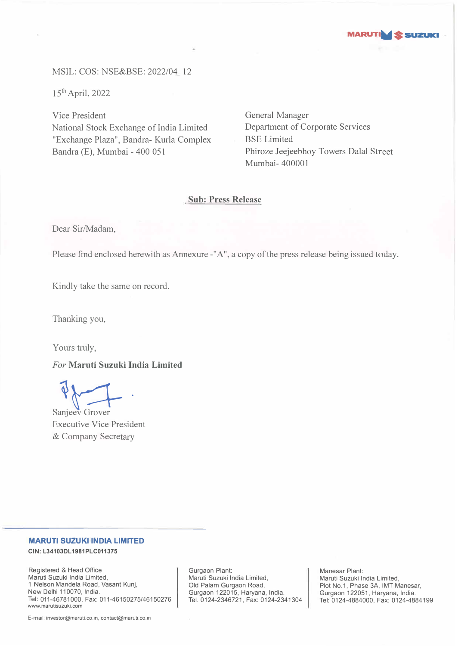

# MSIL: COS: NSE&BSE: 2022/04 12

<sup>15</sup>th April, 2022

Vice President General Manager National Stock Exchange of India Limited "Exchange Plaza", Bandra- Kurla Complex Bandra (E), Mumbai - 400 051

Department of Corporate Services BSE Limited Phiroze Jeejeebhoy Towers Dalal Street Mumbai- 400001

# **Sub: Press Release**

Dear Sir/Madam,

Please find enclosed herewith as Annexure -"A", a copy of the press release being issued today.

Kindly take the same on record.

Thanking you,

Yours truly,

*For* **Maruti Suzuki India Limited** 

 $\begin{picture}(180,170)(-10,170) \put(0,0){\line(1,0){10}} \put(10,0){\line(1,0){10}} \put(10,0){\line(1,0){10}} \put(10,0){\line(1,0){10}} \put(10,0){\line(1,0){10}} \put(10,0){\line(1,0){10}} \put(10,0){\line(1,0){10}} \put(10,0){\line(1,0){10}} \put(10,0){\line(1,0){10}} \put(10,0){\line(1,0){10}} \put(10,0){\line(1,0){10}} \put$ 

Executive Vice President & Company Secretary

## **MARUTI SUZUKI INDIA LIMITED**

**CIN: L34103DL1981PLC011375** 

Registered & Head Office Maruti Suzuki India Limited, 1 Nelson Mandela Road, Vasant Kunj, New Delhi 110070, India. Tel: 011-46781000, Fax: 011-46150275/46150276 www.marutisuzuki.com

Gurgaon Plant: Maruti Suzuki India Limited, Old Palam Gurgaon Road, Gurgaon 122015, Haryana, India. Tel. 0124-2346721, Fax: 0124-2341304 Manesar Plant: Maruti Suzuki India Limited, Plot No.1, Phase 3A, IMT Manesar, Gurgaon 122051, Haryana, India. Tel: 0124-4884000, Fax: 0124-4884199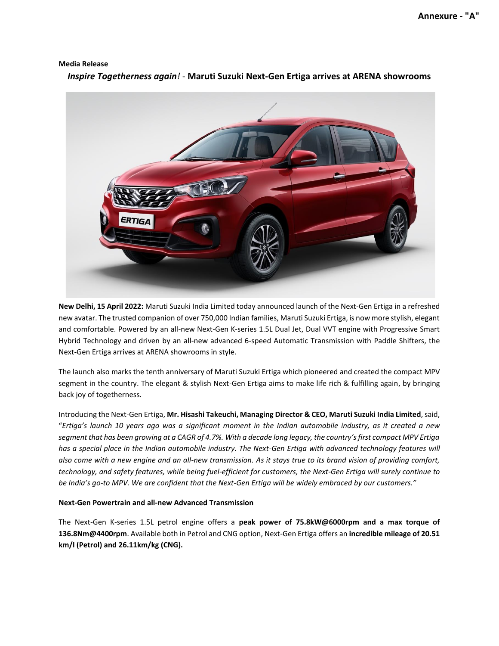### **Media Release**



*Inspire Togetherness again!* - **Maruti Suzuki Next-Gen Ertiga arrives at ARENA showrooms**

**New Delhi, 15 April 2022:** Maruti Suzuki India Limited today announced launch of the Next-Gen Ertiga in a refreshed new avatar. The trusted companion of over 750,000 Indian families, Maruti Suzuki Ertiga, is now more stylish, elegant and comfortable. Powered by an all-new Next-Gen K-series 1.5L Dual Jet, Dual VVT engine with Progressive Smart Hybrid Technology and driven by an all-new advanced 6-speed Automatic Transmission with Paddle Shifters, the Next-Gen Ertiga arrives at ARENA showrooms in style.

The launch also marks the tenth anniversary of Maruti Suzuki Ertiga which pioneered and created the compact MPV segment in the country. The elegant & stylish Next-Gen Ertiga aims to make life rich & fulfilling again, by bringing back joy of togetherness.

Introducing the Next-Gen Ertiga, **Mr. Hisashi Takeuchi, Managing Director & CEO, Maruti Suzuki India Limited**, said, "*Ertiga's launch 10 years ago was a significant moment in the Indian automobile industry, as it created a new segment that has been growing at a CAGR of 4.7%. With a decade long legacy, the country's first compact MPV Ertiga has a special place in the Indian automobile industry. The Next-Gen Ertiga with advanced technology features will also come with a new engine and an all-new transmission. As it stays true to its brand vision of providing comfort, technology, and safety features, while being fuel-efficient for customers, the Next-Gen Ertiga will surely continue to be India's go-to MPV. We are confident that the Next-Gen Ertiga will be widely embraced by our customers."*

### **Next-Gen Powertrain and all-new Advanced Transmission**

The Next-Gen K-series 1.5L petrol engine offers a **peak power of 75.8kW@6000rpm and a max torque of 136.8Nm@4400rpm**. Available both in Petrol and CNG option, Next-Gen Ertiga offers an **incredible mileage of 20.51 km/l (Petrol) and 26.11km/kg (CNG).**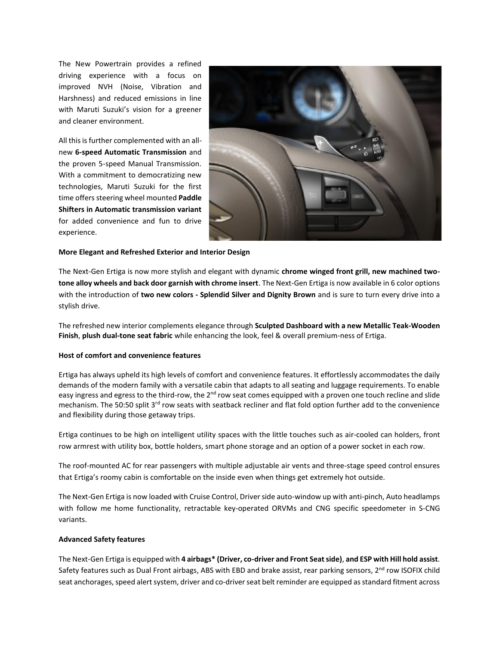The New Powertrain provides a refined driving experience with a focus on improved NVH (Noise, Vibration and Harshness) and reduced emissions in line with Maruti Suzuki's vision for a greener and cleaner environment.

All this is further complemented with an allnew **6-speed Automatic Transmission** and the proven 5-speed Manual Transmission. With a commitment to democratizing new technologies, Maruti Suzuki for the first time offers steering wheel mounted **Paddle Shifters in Automatic transmission variant** for added convenience and fun to drive experience.



#### **More Elegant and Refreshed Exterior and Interior Design**

The Next-Gen Ertiga is now more stylish and elegant with dynamic **chrome winged front grill, new machined twotone alloy wheels and back door garnish with chrome insert**. The Next-Gen Ertiga is now available in 6 color options with the introduction of **two new colors - Splendid Silver and Dignity Brown** and is sure to turn every drive into a stylish drive.

The refreshed new interior complements elegance through **Sculpted Dashboard with a new Metallic Teak-Wooden Finish**, **plush dual-tone seat fabric** while enhancing the look, feel & overall premium-ness of Ertiga.

#### **Host of comfort and convenience features**

Ertiga has always upheld its high levels of comfort and convenience features. It effortlessly accommodates the daily demands of the modern family with a versatile cabin that adapts to all seating and luggage requirements. To enable easy ingress and egress to the third-row, the 2<sup>nd</sup> row seat comes equipped with a proven one touch recline and slide mechanism. The 50:50 split  $3^{rd}$  row seats with seatback recliner and flat fold option further add to the convenience and flexibility during those getaway trips.

Ertiga continues to be high on intelligent utility spaces with the little touches such as air-cooled can holders, front row armrest with utility box, bottle holders, smart phone storage and an option of a power socket in each row.

The roof-mounted AC for rear passengers with multiple adjustable air vents and three-stage speed control ensures that Ertiga's roomy cabin is comfortable on the inside even when things get extremely hot outside.

The Next-Gen Ertiga is now loaded with Cruise Control, Driver side auto-window up with anti-pinch, Auto headlamps with follow me home functionality, retractable key-operated ORVMs and CNG specific speedometer in S-CNG variants.

#### **Advanced Safety features**

The Next-Gen Ertiga is equipped with **4 airbags\* (Driver, co-driver and Front Seat side)**, **and ESP with Hill hold assist**. Safety features such as Dual Front airbags, ABS with EBD and brake assist, rear parking sensors,  $2^{nd}$  row ISOFIX child seat anchorages, speed alert system, driver and co-driver seat belt reminder are equipped as standard fitment across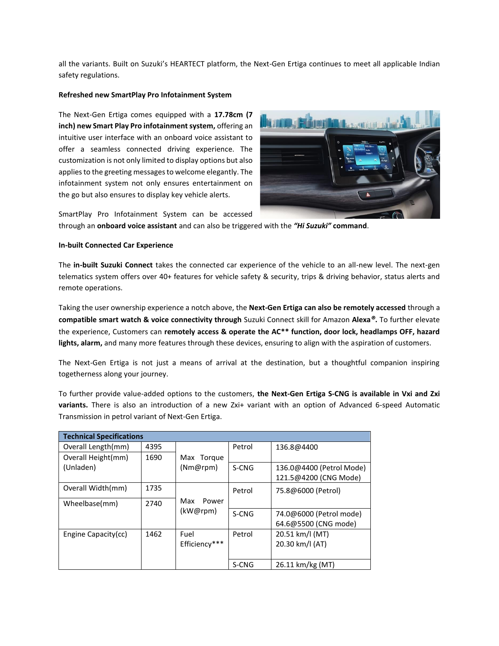all the variants. Built on Suzuki's HEARTECT platform, the Next-Gen Ertiga continues to meet all applicable Indian safety regulations.

#### **Refreshed new SmartPlay Pro Infotainment System**

The Next-Gen Ertiga comes equipped with a **17.78cm (7 inch) new Smart Play Pro infotainment system,** offering an intuitive user interface with an onboard voice assistant to offer a seamless connected driving experience. The customization is not only limited to display options but also applies to the greeting messages to welcome elegantly. The infotainment system not only ensures entertainment on the go but also ensures to display key vehicle alerts.



SmartPlay Pro Infotainment System can be accessed

through an **onboard voice assistant** and can also be triggered with the *"Hi Suzuki"* **command**.

#### **In-built Connected Car Experience**

The **in-built Suzuki Connect** takes the connected car experience of the vehicle to an all-new level. The next-gen telematics system offers over 40+ features for vehicle safety & security, trips & driving behavior, status alerts and remote operations.

Taking the user ownership experience a notch above, the **Next-Gen Ertiga can also be remotely accessed** through a **compatible smart watch & voice connectivity through** Suzuki Connect skill for Amazon **Alexa***®***.** To further elevate the experience, Customers can **remotely access & operate the AC\*\* function, door lock, headlamps OFF, hazard lights, alarm,** and many more features through these devices, ensuring to align with the aspiration of customers.

The Next-Gen Ertiga is not just a means of arrival at the destination, but a thoughtful companion inspiring togetherness along your journey.

To further provide value-added options to the customers, **the Next-Gen Ertiga S-CNG is available in Vxi and Zxi variants.** There is also an introduction of a new Zxi+ variant with an option of Advanced 6-speed Automatic Transmission in petrol variant of Next-Gen Ertiga.

| <b>Technical Specifications</b> |      |                       |        |                          |  |  |  |  |  |
|---------------------------------|------|-----------------------|--------|--------------------------|--|--|--|--|--|
| Overall Length(mm)              | 4395 |                       | Petrol | 136.8@4400               |  |  |  |  |  |
| Overall Height(mm)              | 1690 | Max Torque            |        |                          |  |  |  |  |  |
| (Unladen)                       |      | (Nm@rpm)              | S-CNG  | 136.0@4400 (Petrol Mode) |  |  |  |  |  |
|                                 |      |                       |        | 121.5@4200 (CNG Mode)    |  |  |  |  |  |
| Overall Width(mm)               | 1735 |                       | Petrol | 75.8@6000 (Petrol)       |  |  |  |  |  |
| Wheelbase(mm)                   | 2740 | Power<br>Max          |        |                          |  |  |  |  |  |
|                                 |      | (kW@rpm)              | S-CNG  | 74.0@6000 (Petrol mode)  |  |  |  |  |  |
|                                 |      |                       |        | 64.6@5500 (CNG mode)     |  |  |  |  |  |
| Engine Capacity(cc)             | 1462 | Fuel<br>Efficiency*** | Petrol | 20.51 km/l (MT)          |  |  |  |  |  |
|                                 |      |                       |        | 20.30 km/l (AT)          |  |  |  |  |  |
|                                 |      |                       |        |                          |  |  |  |  |  |
|                                 |      |                       | S-CNG  | 26.11 km/kg (MT)         |  |  |  |  |  |